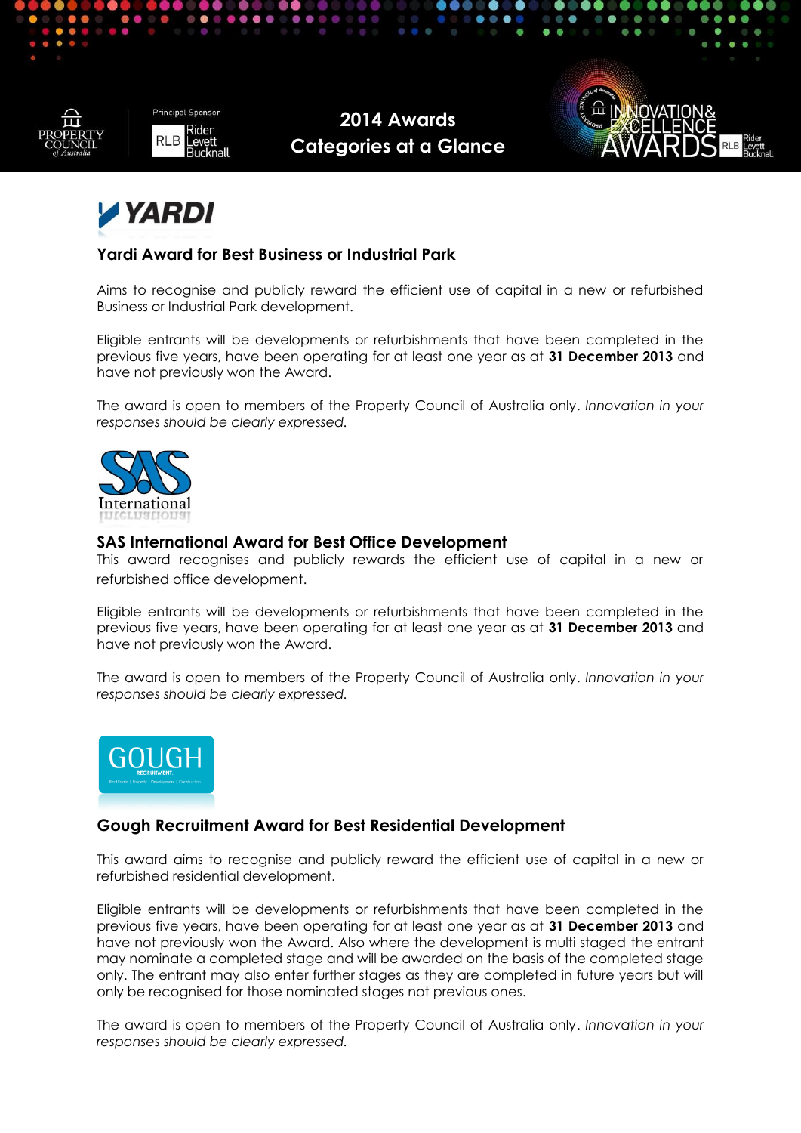





### **Yardi Award for Best Business or Industrial Park**

Aims to recognise and publicly reward the efficient use of capital in a new or refurbished Business or Industrial Park development.

Eligible entrants will be developments or refurbishments that have been completed in the previous five years, have been operating for at least one year as at **31 December 2013** and have not previously won the Award.

The award is open to members of the Property Council of Australia only. *Innovation in your responses should be clearly expressed.*



### **SAS International Award for Best Office Development**

This award recognises and publicly rewards the efficient use of capital in a new or refurbished office development.

Eligible entrants will be developments or refurbishments that have been completed in the previous five years, have been operating for at least one year as at **31 December 2013** and have not previously won the Award.

The award is open to members of the Property Council of Australia only. *Innovation in your responses should be clearly expressed.*



# **Gough Recruitment Award for Best Residential Development**

This award aims to recognise and publicly reward the efficient use of capital in a new or refurbished residential development.

Eligible entrants will be developments or refurbishments that have been completed in the previous five years, have been operating for at least one year as at **31 December 2013** and have not previously won the Award. Also where the development is multi staged the entrant may nominate a completed stage and will be awarded on the basis of the completed stage only. The entrant may also enter further stages as they are completed in future years but will only be recognised for those nominated stages not previous ones.

The award is open to members of the Property Council of Australia only. *Innovation in your responses should be clearly expressed.*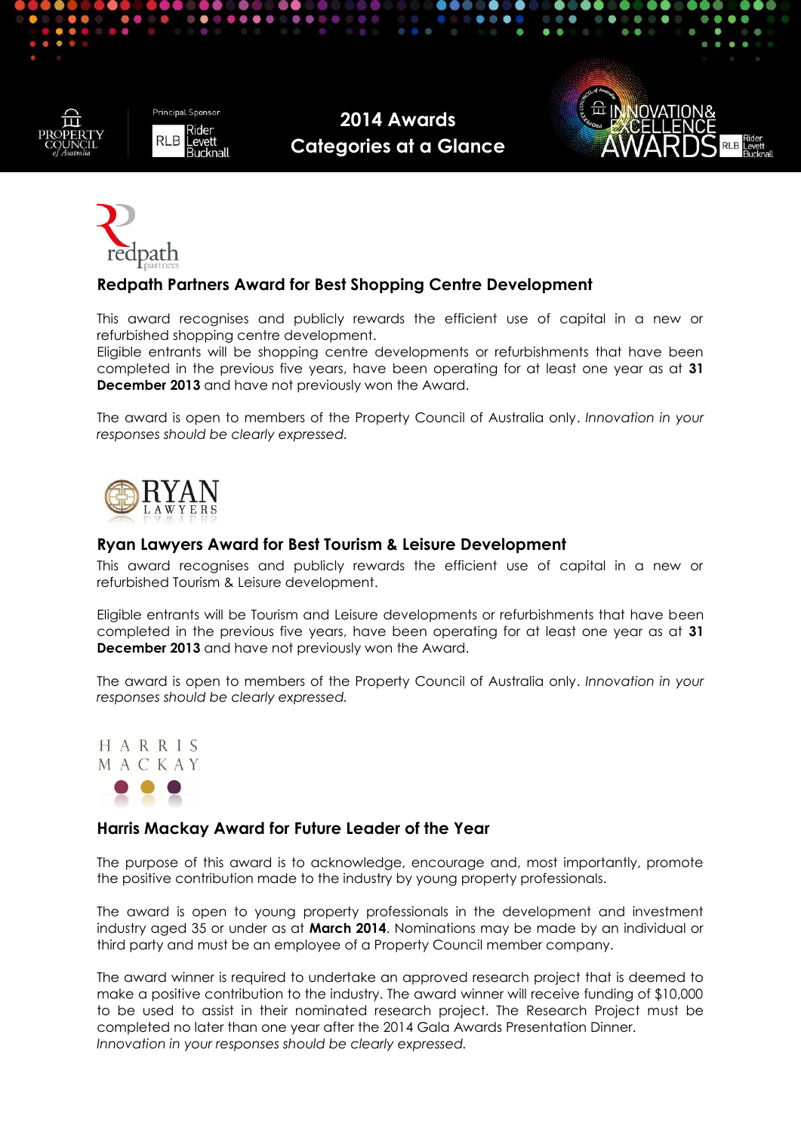

**Principal Sponsor RLB** eve

**2014 Awards Categories at a Glance**





### **Redpath Partners Award for Best Shopping Centre Development**

This award recognises and publicly rewards the efficient use of capital in a new or refurbished shopping centre development.

Eligible entrants will be shopping centre developments or refurbishments that have been completed in the previous five years, have been operating for at least one year as at **31 December 2013** and have not previously won the Award.

The award is open to members of the Property Council of Australia only. *Innovation in your responses should be clearly expressed.*



### **Ryan Lawyers Award for Best Tourism & Leisure Development**

This award recognises and publicly rewards the efficient use of capital in a new or refurbished Tourism & Leisure development.

Eligible entrants will be Tourism and Leisure developments or refurbishments that have been completed in the previous five years, have been operating for at least one year as at **31 December 2013** and have not previously won the Award.

The award is open to members of the Property Council of Australia only. *Innovation in your responses should be clearly expressed.*



### **Harris Mackay Award for Future Leader of the Year**

The purpose of this award is to acknowledge, encourage and, most importantly, promote the positive contribution made to the industry by young property professionals.

The award is open to young property professionals in the development and investment industry aged 35 or under as at **March 2014**. Nominations may be made by an individual or third party and must be an employee of a Property Council member company.

The award winner is required to undertake an approved research project that is deemed to make a positive contribution to the industry. The award winner will receive funding of \$10,000 to be used to assist in their nominated research project. The Research Project must be completed no later than one year after the 2014 Gala Awards Presentation Dinner. *Innovation in your responses should be clearly expressed.*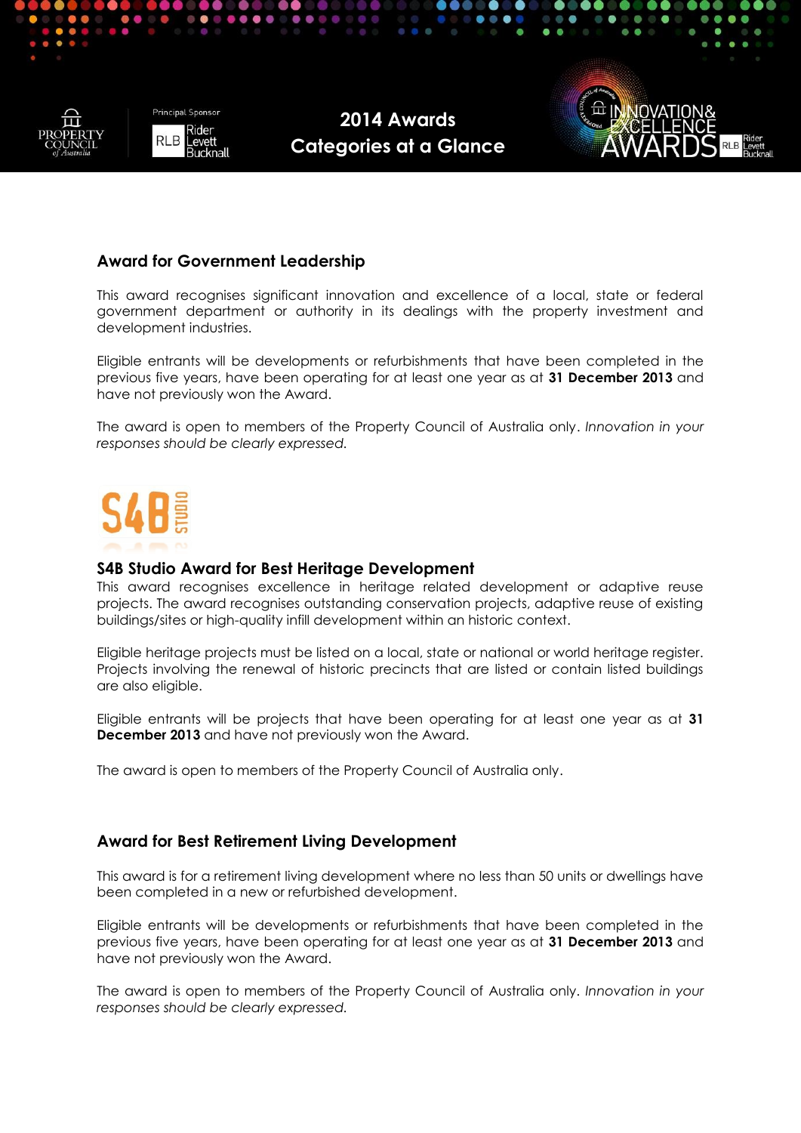



### **Award for Government Leadership**

This award recognises significant innovation and excellence of a local, state or federal government department or authority in its dealings with the property investment and development industries.

Eligible entrants will be developments or refurbishments that have been completed in the previous five years, have been operating for at least one year as at **31 December 2013** and have not previously won the Award.

The award is open to members of the Property Council of Australia only. *Innovation in your responses should be clearly expressed.*



#### **S4B Studio Award for Best Heritage Development**

This award recognises excellence in heritage related development or adaptive reuse projects. The award recognises outstanding conservation projects, adaptive reuse of existing buildings/sites or high-quality infill development within an historic context.

Eligible heritage projects must be listed on a local, state or national or world heritage register. Projects involving the renewal of historic precincts that are listed or contain listed buildings are also eligible.

Eligible entrants will be projects that have been operating for at least one year as at **31 December 2013** and have not previously won the Award.

The award is open to members of the Property Council of Australia only.

### **Award for Best Retirement Living Development**

This award is for a retirement living development where no less than 50 units or dwellings have been completed in a new or refurbished development.

Eligible entrants will be developments or refurbishments that have been completed in the previous five years, have been operating for at least one year as at **31 December 2013** and have not previously won the Award.

The award is open to members of the Property Council of Australia only. *Innovation in your responses should be clearly expressed.*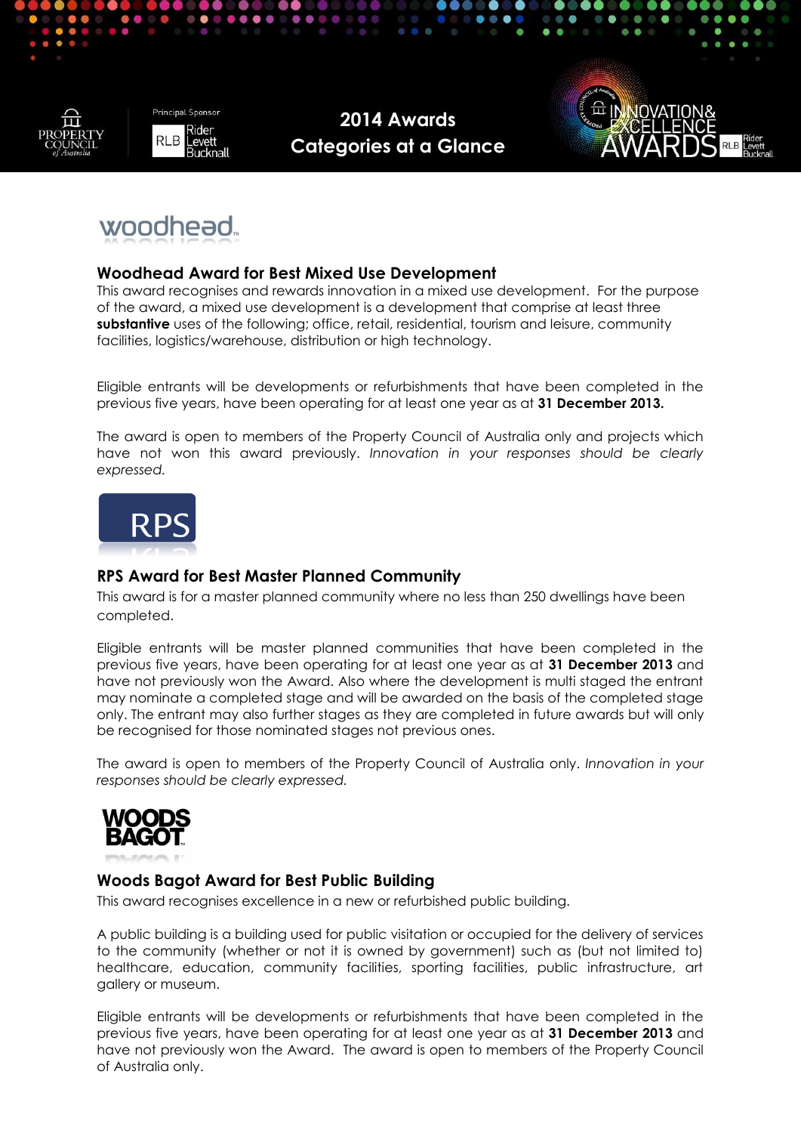





# woodhead.

## **Woodhead Award for Best Mixed Use Development**

This award recognises and rewards innovation in a mixed use development. For the purpose of the award, a mixed use development is a development that comprise at least three **substantive** uses of the following; office, retail, residential, tourism and leisure, community facilities, logistics/warehouse, distribution or high technology.

Eligible entrants will be developments or refurbishments that have been completed in the previous five years, have been operating for at least one year as at **31 December 2013.** 

The award is open to members of the Property Council of Australia only and projects which have not won this award previously. *Innovation in your responses should be clearly expressed.*



# **RPS Award for Best Master Planned Community**

This award is for a master planned community where no less than 250 dwellings have been completed.

Eligible entrants will be master planned communities that have been completed in the previous five years, have been operating for at least one year as at **31 December 2013** and have not previously won the Award. Also where the development is multi staged the entrant may nominate a completed stage and will be awarded on the basis of the completed stage only. The entrant may also further stages as they are completed in future awards but will only be recognised for those nominated stages not previous ones.

The award is open to members of the Property Council of Australia only. *Innovation in your responses should be clearly expressed.*



# **Woods Bagot Award for Best Public Building**

This award recognises excellence in a new or refurbished public building.

A public building is a building used for public visitation or occupied for the delivery of services to the community (whether or not it is owned by government) such as (but not limited to) healthcare, education, community facilities, sporting facilities, public infrastructure, art gallery or museum.

Eligible entrants will be developments or refurbishments that have been completed in the previous five years, have been operating for at least one year as at **31 December 2013** and have not previously won the Award. The award is open to members of the Property Council of Australia only.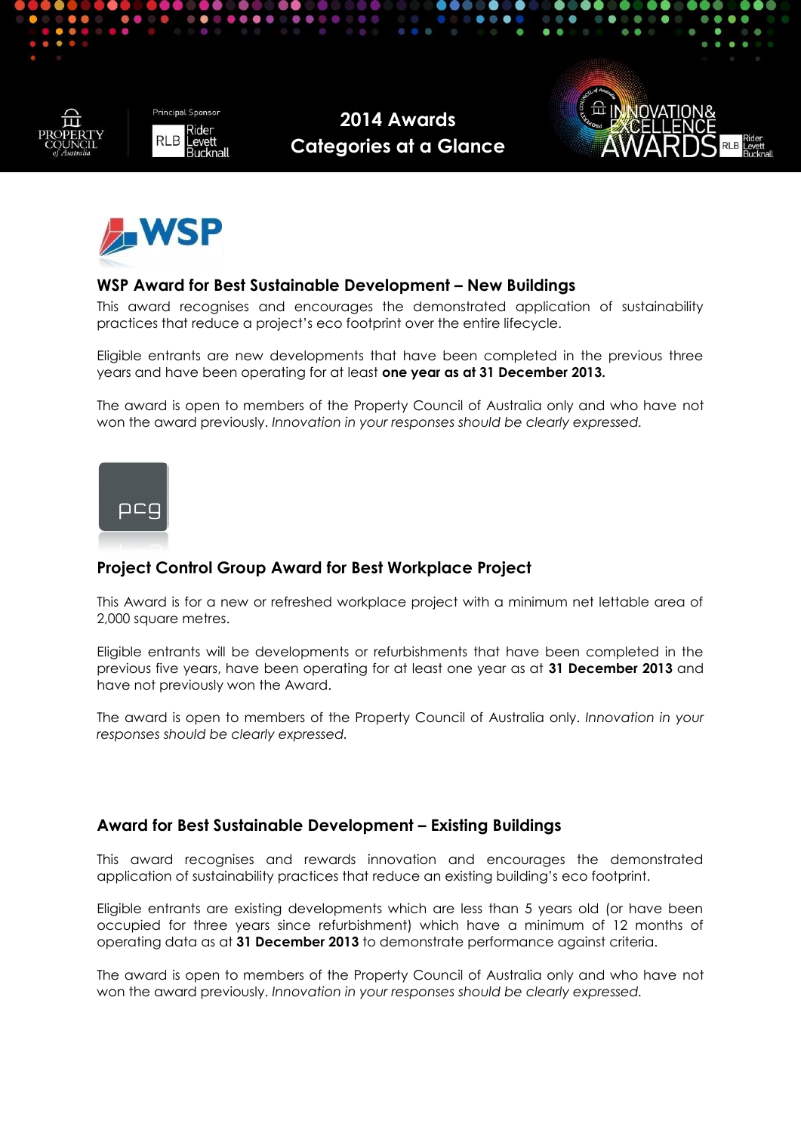







## **WSP Award for Best Sustainable Development – New Buildings**

This award recognises and encourages the demonstrated application of sustainability practices that reduce a project's eco footprint over the entire lifecycle.

Eligible entrants are new developments that have been completed in the previous three years and have been operating for at least **one year as at 31 December 2013.** 

The award is open to members of the Property Council of Australia only and who have not won the award previously. *Innovation in your responses should be clearly expressed.*



# **Project Control Group Award for Best Workplace Project**

This Award is for a new or refreshed workplace project with a minimum net lettable area of 2,000 square metres.

Eligible entrants will be developments or refurbishments that have been completed in the previous five years, have been operating for at least one year as at **31 December 2013** and have not previously won the Award.

The award is open to members of the Property Council of Australia only. *Innovation in your responses should be clearly expressed.*

### **Award for Best Sustainable Development – Existing Buildings**

This award recognises and rewards innovation and encourages the demonstrated application of sustainability practices that reduce an existing building's eco footprint.

Eligible entrants are existing developments which are less than 5 years old (or have been occupied for three years since refurbishment) which have a minimum of 12 months of operating data as at **31 December 2013** to demonstrate performance against criteria.

The award is open to members of the Property Council of Australia only and who have not won the award previously. *Innovation in your responses should be clearly expressed.*